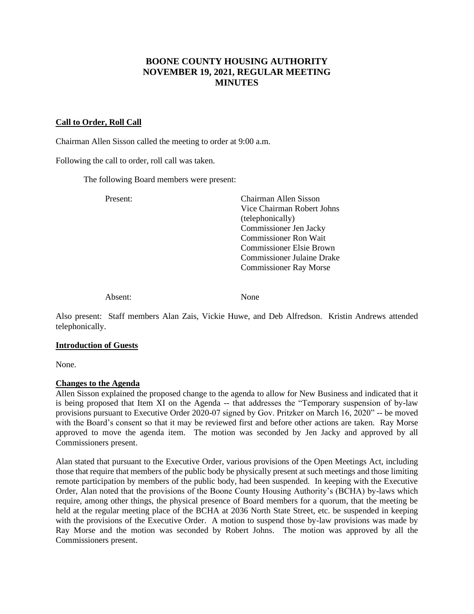# **BOONE COUNTY HOUSING AUTHORITY NOVEMBER 19, 2021, REGULAR MEETING MINUTES**

### **Call to Order, Roll Call**

Chairman Allen Sisson called the meeting to order at 9:00 a.m.

Following the call to order, roll call was taken.

The following Board members were present:

Present: Chairman Allen Sisson Vice Chairman Robert Johns (telephonically) Commissioner Jen Jacky Commissioner Ron Wait Commissioner Elsie Brown Commissioner Julaine Drake Commissioner Ray Morse

Absent: None

Also present: Staff members Alan Zais, Vickie Huwe, and Deb Alfredson. Kristin Andrews attended telephonically.

#### **Introduction of Guests**

None.

### **Changes to the Agenda**

Allen Sisson explained the proposed change to the agenda to allow for New Business and indicated that it is being proposed that Item XI on the Agenda -- that addresses the "Temporary suspension of by-law provisions pursuant to Executive Order 2020-07 signed by Gov. Pritzker on March 16, 2020" -- be moved with the Board's consent so that it may be reviewed first and before other actions are taken. Ray Morse approved to move the agenda item. The motion was seconded by Jen Jacky and approved by all Commissioners present.

Alan stated that pursuant to the Executive Order, various provisions of the Open Meetings Act, including those that require that members of the public body be physically present at such meetings and those limiting remote participation by members of the public body, had been suspended. In keeping with the Executive Order, Alan noted that the provisions of the Boone County Housing Authority's (BCHA) by-laws which require, among other things, the physical presence of Board members for a quorum, that the meeting be held at the regular meeting place of the BCHA at 2036 North State Street, etc. be suspended in keeping with the provisions of the Executive Order. A motion to suspend those by-law provisions was made by Ray Morse and the motion was seconded by Robert Johns. The motion was approved by all the Commissioners present.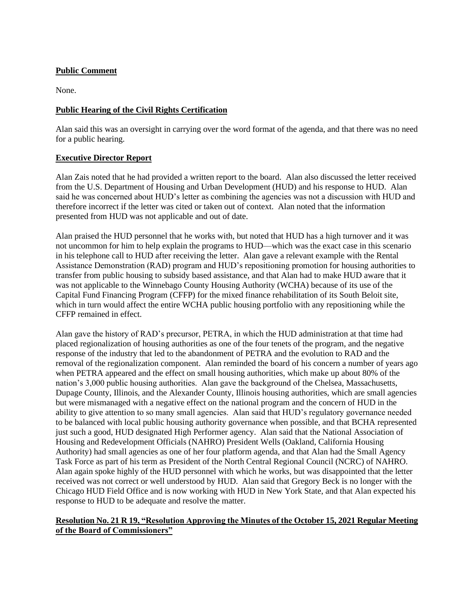# **Public Comment**

None.

### **Public Hearing of the Civil Rights Certification**

Alan said this was an oversight in carrying over the word format of the agenda, and that there was no need for a public hearing.

# **Executive Director Report**

Alan Zais noted that he had provided a written report to the board. Alan also discussed the letter received from the U.S. Department of Housing and Urban Development (HUD) and his response to HUD. Alan said he was concerned about HUD's letter as combining the agencies was not a discussion with HUD and therefore incorrect if the letter was cited or taken out of context. Alan noted that the information presented from HUD was not applicable and out of date.

Alan praised the HUD personnel that he works with, but noted that HUD has a high turnover and it was not uncommon for him to help explain the programs to HUD—which was the exact case in this scenario in his telephone call to HUD after receiving the letter. Alan gave a relevant example with the Rental Assistance Demonstration (RAD) program and HUD's repositioning promotion for housing authorities to transfer from public housing to subsidy based assistance, and that Alan had to make HUD aware that it was not applicable to the Winnebago County Housing Authority (WCHA) because of its use of the Capital Fund Financing Program (CFFP) for the mixed finance rehabilitation of its South Beloit site, which in turn would affect the entire WCHA public housing portfolio with any repositioning while the CFFP remained in effect.

Alan gave the history of RAD's precursor, PETRA, in which the HUD administration at that time had placed regionalization of housing authorities as one of the four tenets of the program, and the negative response of the industry that led to the abandonment of PETRA and the evolution to RAD and the removal of the regionalization component. Alan reminded the board of his concern a number of years ago when PETRA appeared and the effect on small housing authorities, which make up about 80% of the nation's 3,000 public housing authorities. Alan gave the background of the Chelsea, Massachusetts, Dupage County, Illinois, and the Alexander County, Illinois housing authorities, which are small agencies but were mismanaged with a negative effect on the national program and the concern of HUD in the ability to give attention to so many small agencies. Alan said that HUD's regulatory governance needed to be balanced with local public housing authority governance when possible, and that BCHA represented just such a good, HUD designated High Performer agency. Alan said that the National Association of Housing and Redevelopment Officials (NAHRO) President Wells (Oakland, California Housing Authority) had small agencies as one of her four platform agenda, and that Alan had the Small Agency Task Force as part of his term as President of the North Central Regional Council (NCRC) of NAHRO. Alan again spoke highly of the HUD personnel with which he works, but was disappointed that the letter received was not correct or well understood by HUD. Alan said that Gregory Beck is no longer with the Chicago HUD Field Office and is now working with HUD in New York State, and that Alan expected his response to HUD to be adequate and resolve the matter.

# **Resolution No. 21 R 19, "Resolution Approving the Minutes of the October 15, 2021 Regular Meeting of the Board of Commissioners"**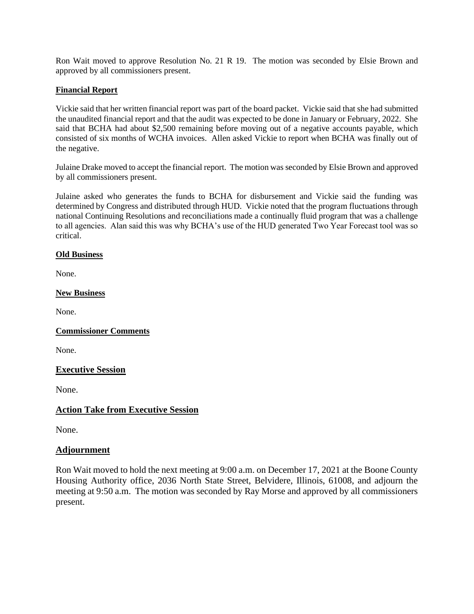Ron Wait moved to approve Resolution No. 21 R 19. The motion was seconded by Elsie Brown and approved by all commissioners present.

# **Financial Report**

Vickie said that her written financial report was part of the board packet. Vickie said that she had submitted the unaudited financial report and that the audit was expected to be done in January or February, 2022. She said that BCHA had about \$2,500 remaining before moving out of a negative accounts payable, which consisted of six months of WCHA invoices. Allen asked Vickie to report when BCHA was finally out of the negative.

Julaine Drake moved to accept the financial report. The motion was seconded by Elsie Brown and approved by all commissioners present.

Julaine asked who generates the funds to BCHA for disbursement and Vickie said the funding was determined by Congress and distributed through HUD. Vickie noted that the program fluctuations through national Continuing Resolutions and reconciliations made a continually fluid program that was a challenge to all agencies. Alan said this was why BCHA's use of the HUD generated Two Year Forecast tool was so critical.

### **Old Business**

None.

### **New Business**

None.

# **Commissioner Comments**

None.

### **Executive Session**

None.

# **Action Take from Executive Session**

None.

# **Adjournment**

Ron Wait moved to hold the next meeting at 9:00 a.m. on December 17, 2021 at the Boone County Housing Authority office, 2036 North State Street, Belvidere, Illinois, 61008, and adjourn the meeting at 9:50 a.m. The motion was seconded by Ray Morse and approved by all commissioners present.